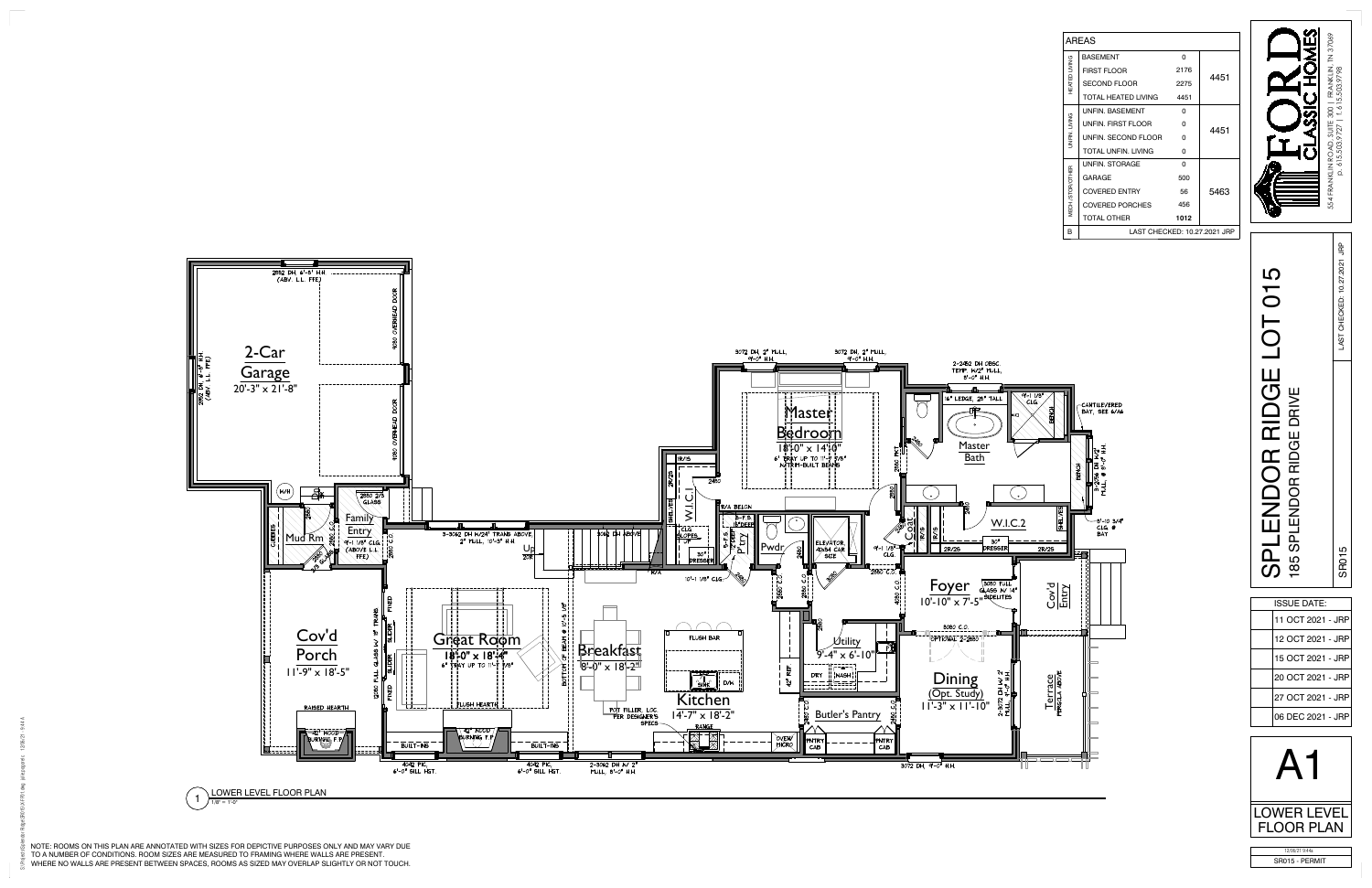

|                     | <b>AREAS</b>                 |      |      |  |
|---------------------|------------------------------|------|------|--|
|                     | <b>BASEMENT</b>              | O    |      |  |
| HEATED LIVING       | <b>FIRST FLOOR</b>           | 2176 |      |  |
|                     | <b>SECOND FLOOR</b>          | 2275 | 4451 |  |
|                     | TOTAL HEATED LIVING 4451     |      |      |  |
|                     | <b>UNFIN BASEMENT</b>        | O    |      |  |
|                     | UNFIN FIRST FLOOR            | O    | 4451 |  |
| <b>JNFIN.LIVING</b> | UNFIN. SECOND FLOOR          | U    |      |  |
|                     | TOTAL UNFIN, LIVING          | O    |      |  |
|                     | <b>UNFIN. STORAGE</b>        | O    |      |  |
|                     | GARAGE                       | 500  |      |  |
|                     | <b>COVERED ENTRY</b>         | 56   | 5463 |  |
| MECH./STOR/OTHER    | <b>COVERED PORCHES</b>       | 456  |      |  |
|                     | <b>TOTAL OTHER</b>           | 1012 |      |  |
| R                   | LAST CHECKED: 10.27.2021 JRP |      |      |  |





| <b>ISSUE DATE:</b> |
|--------------------|
| 11 OCT 2021 - JRP  |
| 12 OCT 2021 - JRP  |
| 15 OCT 2021 - JRP  |
| 20 OCT 2021 - JRP  |
| 27 OCT 2021 - JRP  |
| 06 DEC 2021 - JRP  |
|                    |

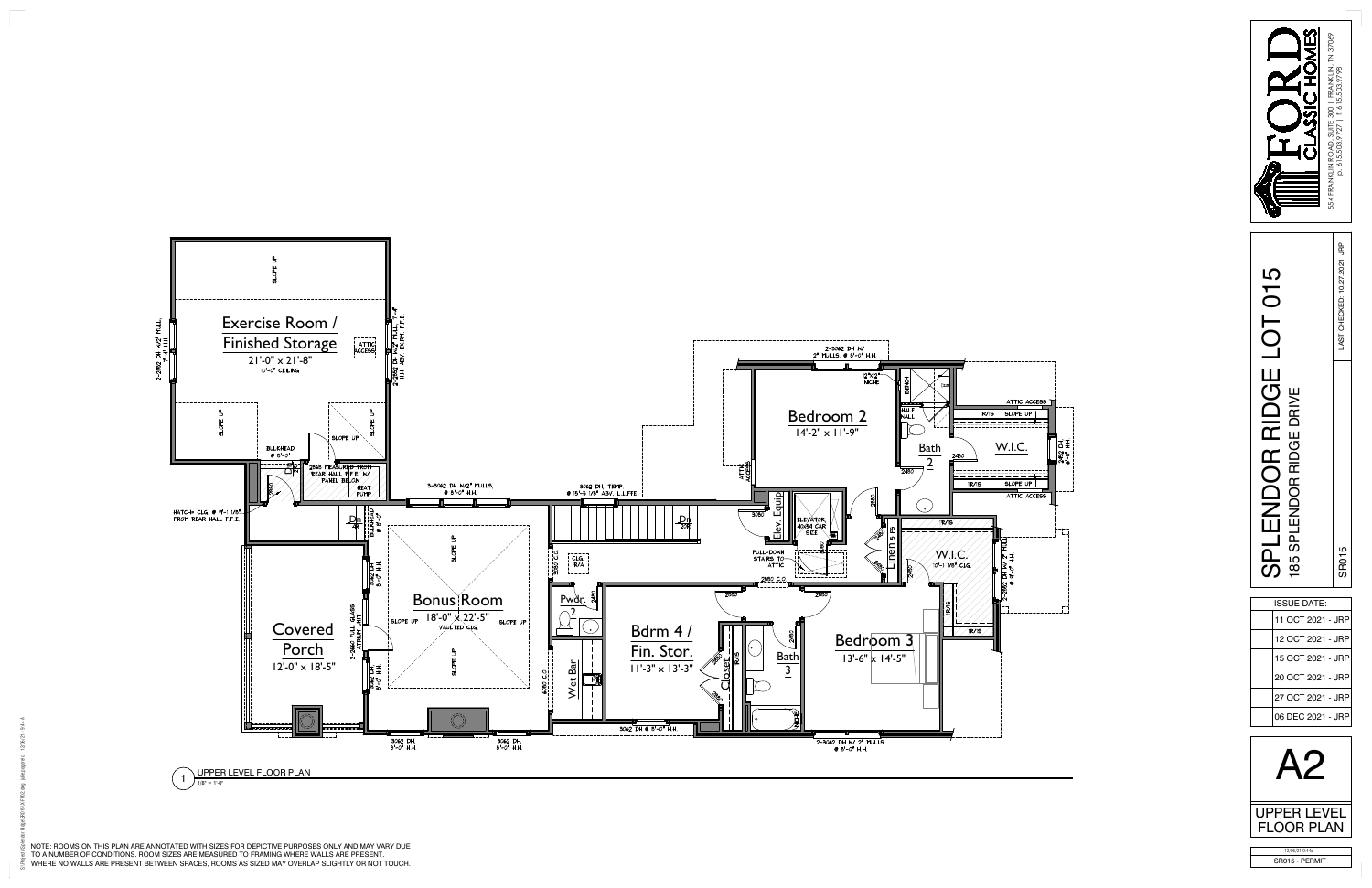

NOTE: ROOMS ON THIS PLAN ARE ANNOTATED WITH SIZES FOR DEPICTIVE PURPOSES ONLY AND MAY VARY DUE TO A NUMBER OF CONDITIONS. ROOM SIZES ARE MEASURED TO FRAMING WHERE WALLS ARE PRESENT.<br>WHERE NO WALLS ARE PRESENT BETWEEN SPACES, ROOMS AS SIZED MAY OVERLAP SLIGHTLY OR NOT TOUCH.



|                                                              | LAST CHECKED: 10.27.2021 JRP |  |  |
|--------------------------------------------------------------|------------------------------|--|--|
| SPLENDOR RIDGE LOT 015<br>85 SPLENDOR RIDGE DRIVE            | SRO <sub>15</sub>            |  |  |
| <b>ISSUE DATE:</b>                                           |                              |  |  |
| 11 OCT 2021 - JRP                                            |                              |  |  |
| 12 OCT 2021 - JRP                                            |                              |  |  |
|                                                              |                              |  |  |
| 15 OCT 2021 - JRP                                            |                              |  |  |
| 20 OCT 2021 - JRP                                            |                              |  |  |
| 27 OCT 2021 - JRP                                            |                              |  |  |
| 06 DEC 2021 - JRP<br><b>UPPER LEVEL</b><br><b>FLOOR PLAN</b> |                              |  |  |

| 11 OCT 2021 - JRP |  |
|-------------------|--|
| 12 OCT 2021 - JRP |  |
| 15 OCT 2021 - JRP |  |
| 20 OCT 2021 - JRP |  |
| 27 OCT 2021 - JRP |  |
| 06 DEC 2021 - JRP |  |
|                   |  |

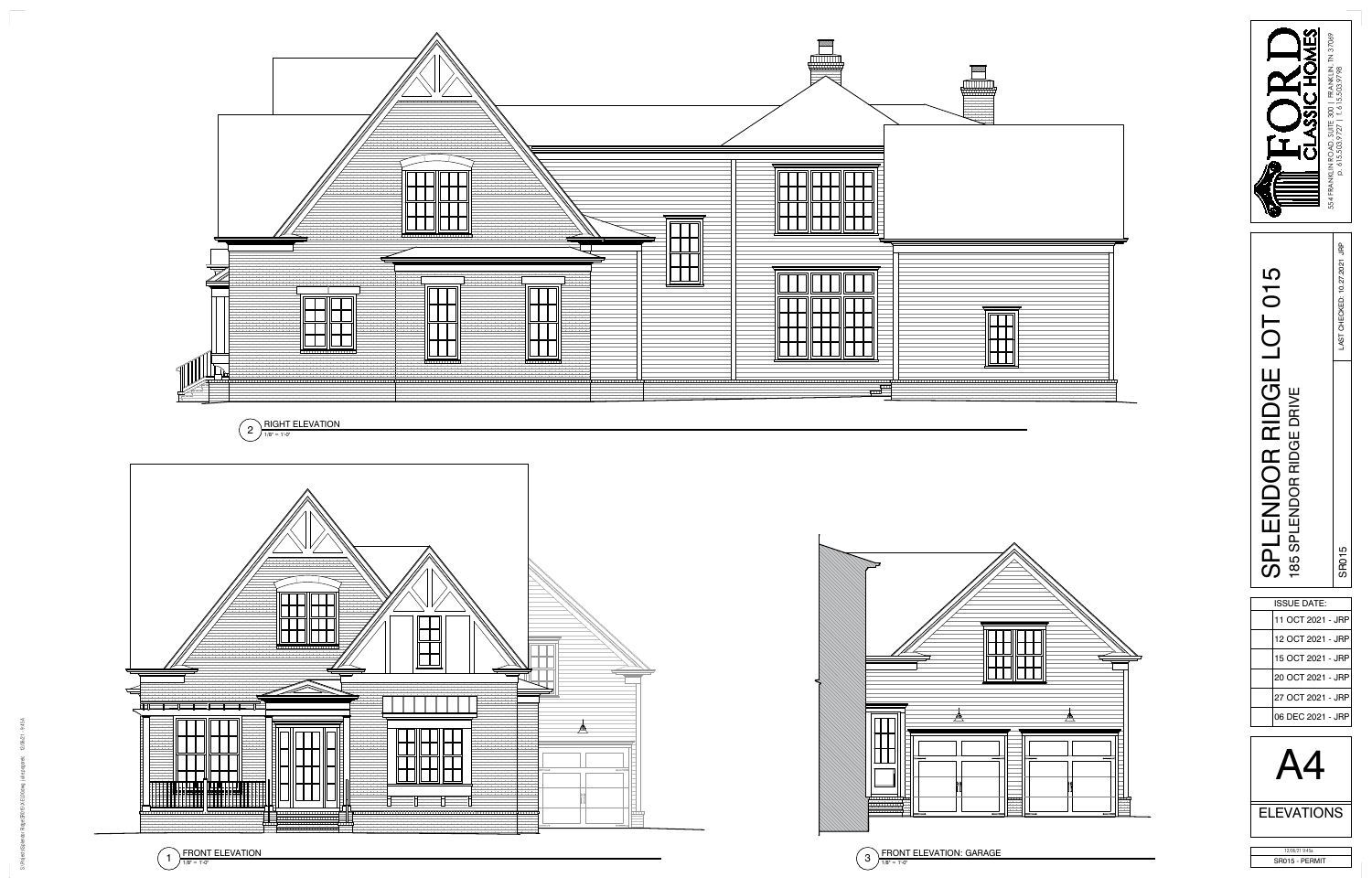

 $\frac{\text{RIGHT ELEVATION}}{1/8" = 1^{1} \cdot 0"}$ 



| ISSUE DATE:       |  |
|-------------------|--|
| 11 OCT 2021 - JRP |  |
| 12 OCT 2021 - JRP |  |
| 15 OCT 2021 - JRP |  |
| 20 OCT 2021 - JRP |  |
| 27 OCT 2021 - JRP |  |
| 06 DEC 2021 - JRP |  |
|                   |  |